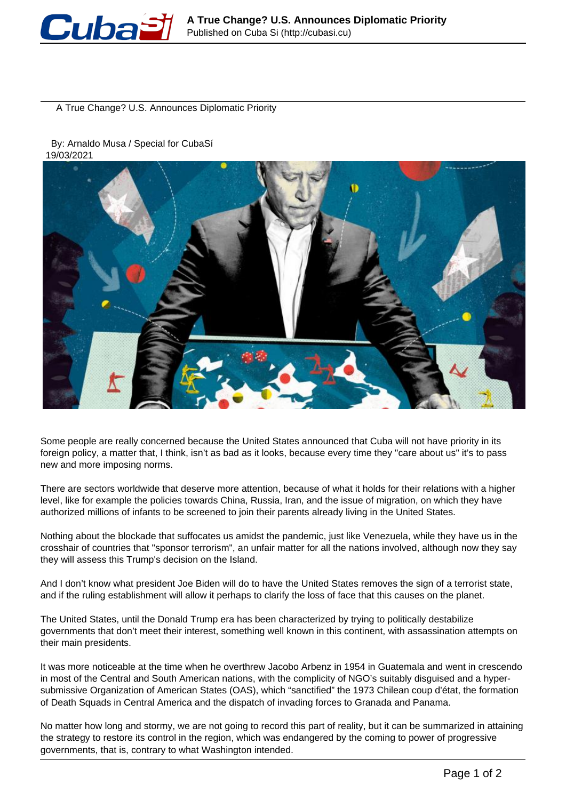

A True Change? U.S. Announces Diplomatic Priority

## By: Arnaldo Musa / Special for CubaSí 19/03/2021



Some people are really concerned because the United States announced that Cuba will not have priority in its foreign policy, a matter that, I think, isn't as bad as it looks, because every time they "care about us" it's to pass new and more imposing norms.

There are sectors worldwide that deserve more attention, because of what it holds for their relations with a higher level, like for example the policies towards China, Russia, Iran, and the issue of migration, on which they have authorized millions of infants to be screened to join their parents already living in the United States.

Nothing about the blockade that suffocates us amidst the pandemic, just like Venezuela, while they have us in the crosshair of countries that "sponsor terrorism", an unfair matter for all the nations involved, although now they say they will assess this Trump's decision on the Island.

And I don't know what president Joe Biden will do to have the United States removes the sign of a terrorist state, and if the ruling establishment will allow it perhaps to clarify the loss of face that this causes on the planet.

The United States, until the Donald Trump era has been characterized by trying to politically destabilize governments that don't meet their interest, something well known in this continent, with assassination attempts on their main presidents.

It was more noticeable at the time when he overthrew Jacobo Arbenz in 1954 in Guatemala and went in crescendo in most of the Central and South American nations, with the complicity of NGO's suitably disguised and a hypersubmissive Organization of American States (OAS), which "sanctified" the 1973 Chilean coup d'état, the formation of Death Squads in Central America and the dispatch of invading forces to Granada and Panama.

No matter how long and stormy, we are not going to record this part of reality, but it can be summarized in attaining the strategy to restore its control in the region, which was endangered by the coming to power of progressive governments, that is, contrary to what Washington intended.